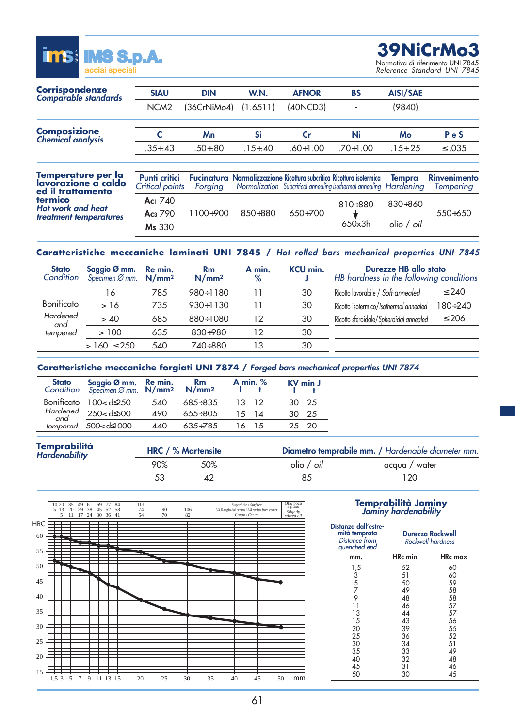

**39NiCrMo3** Normativa di riferimento UNI 7845

*Reference Standard UNI 7845*

| Corrispondenze<br><b>Comparable standards</b>                  | <b>SIAU</b>                             | <b>DIN</b>  | W.N.           | <b>AFNOR</b>    | <b>BS</b>                                                                                                                                  | <b>AISI/SAE</b>   |                                  |
|----------------------------------------------------------------|-----------------------------------------|-------------|----------------|-----------------|--------------------------------------------------------------------------------------------------------------------------------------------|-------------------|----------------------------------|
|                                                                | NCM <sub>2</sub>                        | (36CrNiMo4) | (1.6511)       | (40NCD3)        |                                                                                                                                            | (9840)            |                                  |
| <b>Composizione</b>                                            |                                         | Mn          | Si             | Cr              | Ni                                                                                                                                         | Mo                | PeS                              |
| <b>Chemical analysis</b>                                       | $.35 + .43$                             | $.50+.80$   | $.15 \div .40$ | $.60 \div 1.00$ | $.70 \div 1.00$                                                                                                                            | $.15+.25$         | $\leq .035$                      |
|                                                                |                                         |             |                |                 |                                                                                                                                            |                   |                                  |
| Temperature per la<br>lavorazione a caldo<br>ed il trattamento | <b>Punti critici</b><br>Critical points | Forging     |                |                 | Fucinatura Normalizzazione Ricottura subcritica Ricottura isotermica<br>Normalization Subcritical annealing Isothermal annealing Hardening | Tempra            | <b>Rinvenimento</b><br>Tempering |
| termico<br><b>Hot work and heat</b>                            | Ac <sub>1</sub> 740                     |             |                |                 | $810 + 880$                                                                                                                                | $830 + 860$       |                                  |
| treatment temperatures                                         | Ac <sub>3</sub> 790<br>Ms 330           | $1100+900$  | $850 + 880$    | $650+700$       | 650x3h                                                                                                                                     | olio / <i>oil</i> | $550+650$                        |

# **Caratteristiche meccaniche laminati UNI 7845 /** *Hot rolled bars mechanical properties UNI 7845*

| <b>Stato</b><br>Condition | Saggio Ø mm. Re min.<br>Specimen Ø mm. N/mm <sup>2</sup> |     | <b>Rm</b><br>N/mm <sup>2</sup> | A min.<br>$\%$ | <b>KCU min.</b> | Durezze HB allo stato<br>HB hardness in the following conditions |                |
|---------------------------|----------------------------------------------------------|-----|--------------------------------|----------------|-----------------|------------------------------------------------------------------|----------------|
|                           | 16                                                       | 785 | 980÷1180                       |                | 30              | Ricotto lavorabile / Soft-annealed                               | $\leq 240$     |
| Bonificato                | >16                                                      | 735 | $930 \div 1130$                |                | 30              | Ricotto isotermico/Isothermal annealed                           | $180 \div 240$ |
| Hardened<br>and           | > 40                                                     | 685 | $880 \div 1080$                | 12             | 30              | Ricotto sferoidale/Spheroidal annealed                           | $\leq 206$     |
| tempered                  | >100                                                     | 635 | $830+980$                      | 12             | 30              |                                                                  |                |
|                           | $>160 \le 250$                                           | 540 | 740÷880                        | 13             | 30              |                                                                  |                |

# **Caratteristiche meccaniche forgiati UNI 7874 /** *Forged bars mechanical properties UNI 7874*

| <b>Stato Saggio Ø mm.</b> Re min. Rm<br>Condition Specimen Ø mm. $N/mm^2$ $N/mm^2$ |      |             | A min. $%$     | <b>KV</b> min J |
|------------------------------------------------------------------------------------|------|-------------|----------------|-----------------|
| Bonificato $100 < d$                                                               | 540  | $685 + 835$ | 13 12          | 30 25           |
| $Hardened \over and \overline{250 < d}$                                            | 490  | $655+805$   | $1.5 \quad 14$ | 30 25           |
| $tempered$ 500< $d$ $\triangleq$ 000                                               | 440. | $635 + 785$ | 16 15          | 25 20           |
|                                                                                    |      |             |                |                 |

| Temprabilità<br><i>Hardenability</i> |     | <b>HRC</b> / % Martensite | Diametro temprabile mm. / Hardenable diameter mm. |               |  |
|--------------------------------------|-----|---------------------------|---------------------------------------------------|---------------|--|
|                                      | 90% | 50%                       | olio / oil                                        | acqua / water |  |
|                                      |     |                           | 85                                                | 120           |  |



## **Temprabilità Jominy** *Jominy hardenability*

| Distanza dall'estre-<br>mità temprata<br>Distance from<br>quenched end | Durezza Rockwell<br>Rockwell hardness                                |                                                                      |  |  |
|------------------------------------------------------------------------|----------------------------------------------------------------------|----------------------------------------------------------------------|--|--|
| mm.                                                                    | HRc min                                                              | <b>HRc</b> max                                                       |  |  |
| 1,5<br>3<br>5<br>7<br>9<br>11<br>13<br>15<br>20<br>25<br>30<br>35      | 52<br>51<br>50<br>49<br>48<br>46<br>44<br>43<br>39<br>36<br>34<br>33 | 60<br>60<br>59<br>58<br>58<br>57<br>57<br>56<br>55<br>52<br>51<br>49 |  |  |
| 40<br>45<br>50                                                         | 32<br>31<br>30                                                       | 48<br>46<br>45                                                       |  |  |